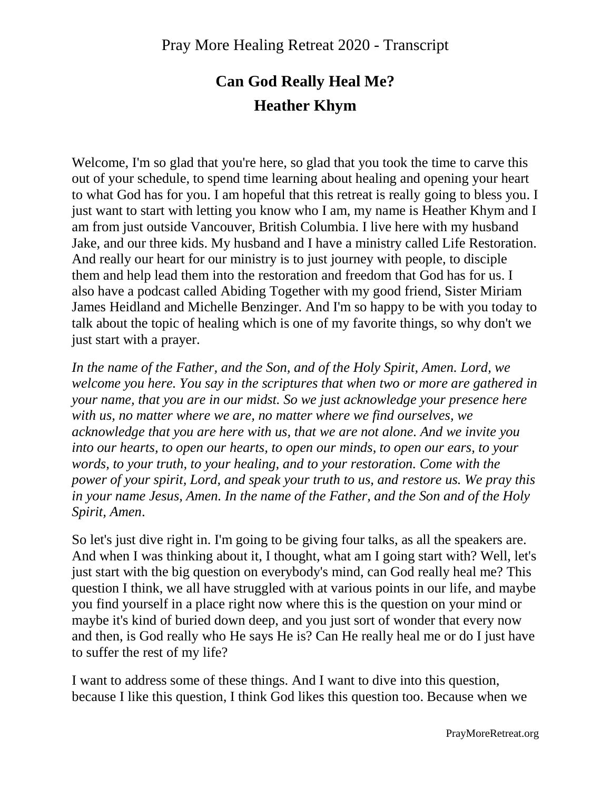## **Can God Really Heal Me? Heather Khym**

Welcome, I'm so glad that you're here, so glad that you took the time to carve this out of your schedule, to spend time learning about healing and opening your heart to what God has for you. I am hopeful that this retreat is really going to bless you. I just want to start with letting you know who I am, my name is Heather Khym and I am from just outside Vancouver, British Columbia. I live here with my husband Jake, and our three kids. My husband and I have a ministry called Life Restoration. And really our heart for our ministry is to just journey with people, to disciple them and help lead them into the restoration and freedom that God has for us. I also have a podcast called Abiding Together with my good friend, Sister Miriam James Heidland and Michelle Benzinger. And I'm so happy to be with you today to talk about the topic of healing which is one of my favorite things, so why don't we just start with a prayer.

*In the name of the Father, and the Son, and of the Holy Spirit, Amen. Lord, we welcome you here. You say in the scriptures that when two or more are gathered in your name, that you are in our midst. So we just acknowledge your presence here with us, no matter where we are, no matter where we find ourselves, we acknowledge that you are here with us, that we are not alone. And we invite you into our hearts, to open our hearts, to open our minds, to open our ears, to your words, to your truth, to your healing, and to your restoration. Come with the power of your spirit, Lord, and speak your truth to us, and restore us. We pray this in your name Jesus, Amen. In the name of the Father, and the Son and of the Holy Spirit, Amen*.

So let's just dive right in. I'm going to be giving four talks, as all the speakers are. And when I was thinking about it, I thought, what am I going start with? Well, let's just start with the big question on everybody's mind, can God really heal me? This question I think, we all have struggled with at various points in our life, and maybe you find yourself in a place right now where this is the question on your mind or maybe it's kind of buried down deep, and you just sort of wonder that every now and then, is God really who He says He is? Can He really heal me or do I just have to suffer the rest of my life?

I want to address some of these things. And I want to dive into this question, because I like this question, I think God likes this question too. Because when we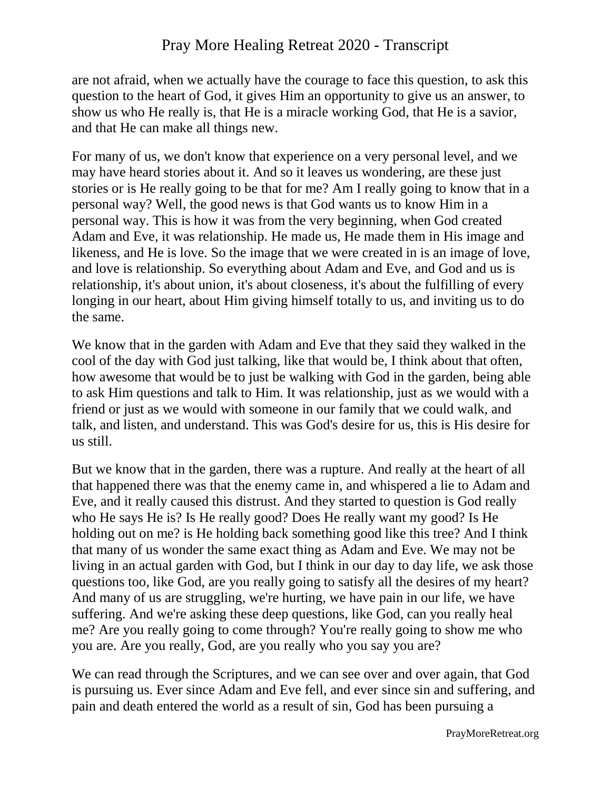## Pray More Healing Retreat 2020 - Transcript

are not afraid, when we actually have the courage to face this question, to ask this question to the heart of God, it gives Him an opportunity to give us an answer, to show us who He really is, that He is a miracle working God, that He is a savior, and that He can make all things new.

For many of us, we don't know that experience on a very personal level, and we may have heard stories about it. And so it leaves us wondering, are these just stories or is He really going to be that for me? Am I really going to know that in a personal way? Well, the good news is that God wants us to know Him in a personal way. This is how it was from the very beginning, when God created Adam and Eve, it was relationship. He made us, He made them in His image and likeness, and He is love. So the image that we were created in is an image of love, and love is relationship. So everything about Adam and Eve, and God and us is relationship, it's about union, it's about closeness, it's about the fulfilling of every longing in our heart, about Him giving himself totally to us, and inviting us to do the same.

We know that in the garden with Adam and Eve that they said they walked in the cool of the day with God just talking, like that would be, I think about that often, how awesome that would be to just be walking with God in the garden, being able to ask Him questions and talk to Him. It was relationship, just as we would with a friend or just as we would with someone in our family that we could walk, and talk, and listen, and understand. This was God's desire for us, this is His desire for us still.

But we know that in the garden, there was a rupture. And really at the heart of all that happened there was that the enemy came in, and whispered a lie to Adam and Eve, and it really caused this distrust. And they started to question is God really who He says He is? Is He really good? Does He really want my good? Is He holding out on me? is He holding back something good like this tree? And I think that many of us wonder the same exact thing as Adam and Eve. We may not be living in an actual garden with God, but I think in our day to day life, we ask those questions too, like God, are you really going to satisfy all the desires of my heart? And many of us are struggling, we're hurting, we have pain in our life, we have suffering. And we're asking these deep questions, like God, can you really heal me? Are you really going to come through? You're really going to show me who you are. Are you really, God, are you really who you say you are?

We can read through the Scriptures, and we can see over and over again, that God is pursuing us. Ever since Adam and Eve fell, and ever since sin and suffering, and pain and death entered the world as a result of sin, God has been pursuing a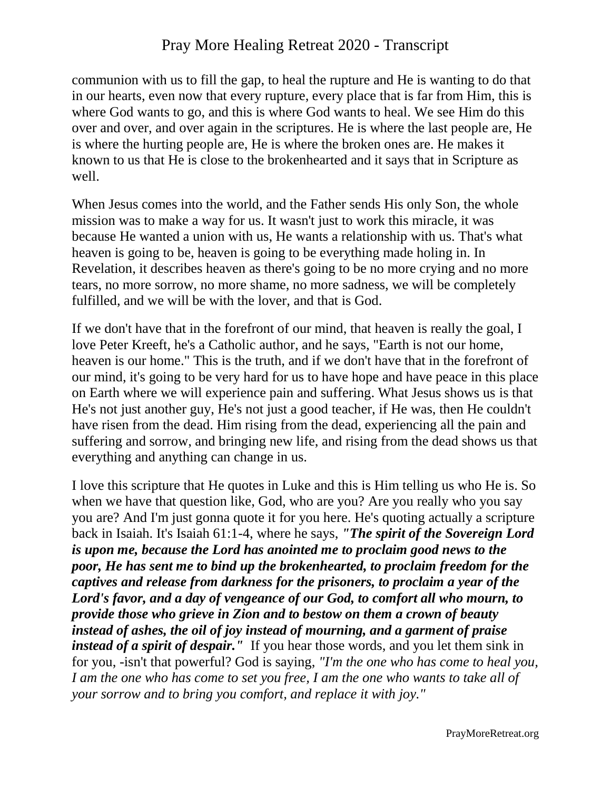communion with us to fill the gap, to heal the rupture and He is wanting to do that in our hearts, even now that every rupture, every place that is far from Him, this is where God wants to go, and this is where God wants to heal. We see Him do this over and over, and over again in the scriptures. He is where the last people are, He is where the hurting people are, He is where the broken ones are. He makes it known to us that He is close to the brokenhearted and it says that in Scripture as well.

When Jesus comes into the world, and the Father sends His only Son, the whole mission was to make a way for us. It wasn't just to work this miracle, it was because He wanted a union with us, He wants a relationship with us. That's what heaven is going to be, heaven is going to be everything made holing in. In Revelation, it describes heaven as there's going to be no more crying and no more tears, no more sorrow, no more shame, no more sadness, we will be completely fulfilled, and we will be with the lover, and that is God.

If we don't have that in the forefront of our mind, that heaven is really the goal, I love Peter Kreeft, he's a Catholic author, and he says, "Earth is not our home, heaven is our home." This is the truth, and if we don't have that in the forefront of our mind, it's going to be very hard for us to have hope and have peace in this place on Earth where we will experience pain and suffering. What Jesus shows us is that He's not just another guy, He's not just a good teacher, if He was, then He couldn't have risen from the dead. Him rising from the dead, experiencing all the pain and suffering and sorrow, and bringing new life, and rising from the dead shows us that everything and anything can change in us.

I love this scripture that He quotes in Luke and this is Him telling us who He is. So when we have that question like, God, who are you? Are you really who you say you are? And I'm just gonna quote it for you here. He's quoting actually a scripture back in Isaiah. It's Isaiah 61:1-4, where he says, *"The spirit of the Sovereign Lord is upon me, because the Lord has anointed me to proclaim good news to the poor, He has sent me to bind up the brokenhearted, to proclaim freedom for the captives and release from darkness for the prisoners, to proclaim a year of the Lord's favor, and a day of vengeance of our God, to comfort all who mourn, to provide those who grieve in Zion and to bestow on them a crown of beauty instead of ashes, the oil of joy instead of mourning, and a garment of praise instead of a spirit of despair.*" If you hear those words, and you let them sink in for you, -isn't that powerful? God is saying, *"I'm the one who has come to heal you, I am the one who has come to set you free, I am the one who wants to take all of your sorrow and to bring you comfort, and replace it with joy."*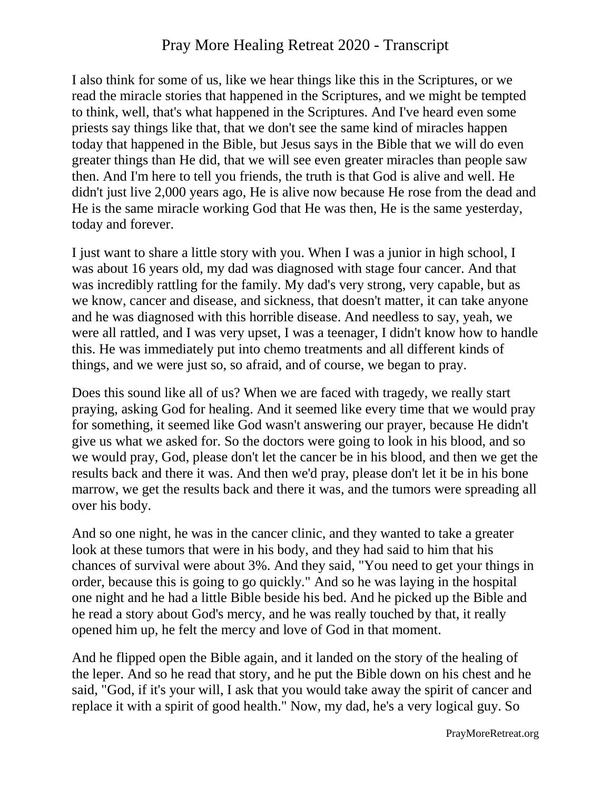## Pray More Healing Retreat 2020 - Transcript

I also think for some of us, like we hear things like this in the Scriptures, or we read the miracle stories that happened in the Scriptures, and we might be tempted to think, well, that's what happened in the Scriptures. And I've heard even some priests say things like that, that we don't see the same kind of miracles happen today that happened in the Bible, but Jesus says in the Bible that we will do even greater things than He did, that we will see even greater miracles than people saw then. And I'm here to tell you friends, the truth is that God is alive and well. He didn't just live 2,000 years ago, He is alive now because He rose from the dead and He is the same miracle working God that He was then, He is the same yesterday, today and forever.

I just want to share a little story with you. When I was a junior in high school, I was about 16 years old, my dad was diagnosed with stage four cancer. And that was incredibly rattling for the family. My dad's very strong, very capable, but as we know, cancer and disease, and sickness, that doesn't matter, it can take anyone and he was diagnosed with this horrible disease. And needless to say, yeah, we were all rattled, and I was very upset, I was a teenager, I didn't know how to handle this. He was immediately put into chemo treatments and all different kinds of things, and we were just so, so afraid, and of course, we began to pray.

Does this sound like all of us? When we are faced with tragedy, we really start praying, asking God for healing. And it seemed like every time that we would pray for something, it seemed like God wasn't answering our prayer, because He didn't give us what we asked for. So the doctors were going to look in his blood, and so we would pray, God, please don't let the cancer be in his blood, and then we get the results back and there it was. And then we'd pray, please don't let it be in his bone marrow, we get the results back and there it was, and the tumors were spreading all over his body.

And so one night, he was in the cancer clinic, and they wanted to take a greater look at these tumors that were in his body, and they had said to him that his chances of survival were about 3%. And they said, "You need to get your things in order, because this is going to go quickly." And so he was laying in the hospital one night and he had a little Bible beside his bed. And he picked up the Bible and he read a story about God's mercy, and he was really touched by that, it really opened him up, he felt the mercy and love of God in that moment.

And he flipped open the Bible again, and it landed on the story of the healing of the leper. And so he read that story, and he put the Bible down on his chest and he said, "God, if it's your will, I ask that you would take away the spirit of cancer and replace it with a spirit of good health." Now, my dad, he's a very logical guy. So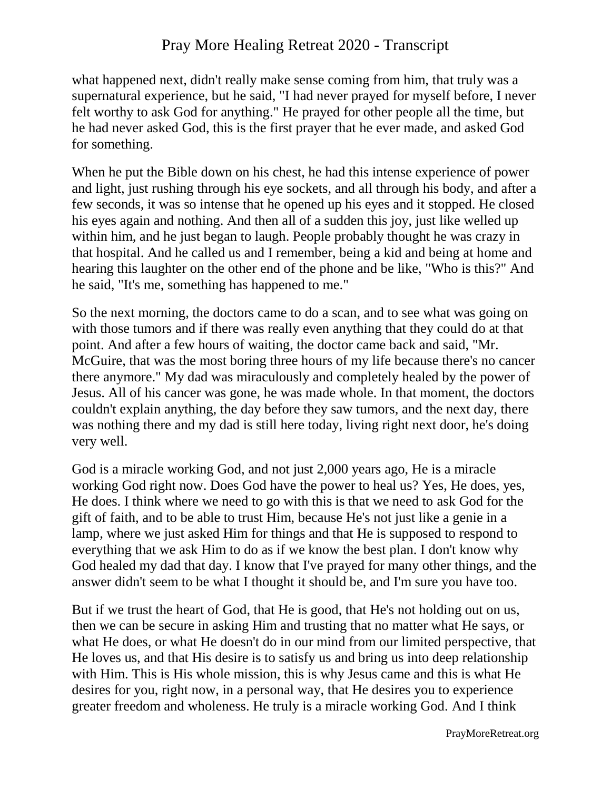## Pray More Healing Retreat 2020 - Transcript

what happened next, didn't really make sense coming from him, that truly was a supernatural experience, but he said, "I had never prayed for myself before, I never felt worthy to ask God for anything." He prayed for other people all the time, but he had never asked God, this is the first prayer that he ever made, and asked God for something.

When he put the Bible down on his chest, he had this intense experience of power and light, just rushing through his eye sockets, and all through his body, and after a few seconds, it was so intense that he opened up his eyes and it stopped. He closed his eyes again and nothing. And then all of a sudden this joy, just like welled up within him, and he just began to laugh. People probably thought he was crazy in that hospital. And he called us and I remember, being a kid and being at home and hearing this laughter on the other end of the phone and be like, "Who is this?" And he said, "It's me, something has happened to me."

So the next morning, the doctors came to do a scan, and to see what was going on with those tumors and if there was really even anything that they could do at that point. And after a few hours of waiting, the doctor came back and said, "Mr. McGuire, that was the most boring three hours of my life because there's no cancer there anymore." My dad was miraculously and completely healed by the power of Jesus. All of his cancer was gone, he was made whole. In that moment, the doctors couldn't explain anything, the day before they saw tumors, and the next day, there was nothing there and my dad is still here today, living right next door, he's doing very well.

God is a miracle working God, and not just 2,000 years ago, He is a miracle working God right now. Does God have the power to heal us? Yes, He does, yes, He does. I think where we need to go with this is that we need to ask God for the gift of faith, and to be able to trust Him, because He's not just like a genie in a lamp, where we just asked Him for things and that He is supposed to respond to everything that we ask Him to do as if we know the best plan. I don't know why God healed my dad that day. I know that I've prayed for many other things, and the answer didn't seem to be what I thought it should be, and I'm sure you have too.

But if we trust the heart of God, that He is good, that He's not holding out on us, then we can be secure in asking Him and trusting that no matter what He says, or what He does, or what He doesn't do in our mind from our limited perspective, that He loves us, and that His desire is to satisfy us and bring us into deep relationship with Him. This is His whole mission, this is why Jesus came and this is what He desires for you, right now, in a personal way, that He desires you to experience greater freedom and wholeness. He truly is a miracle working God. And I think